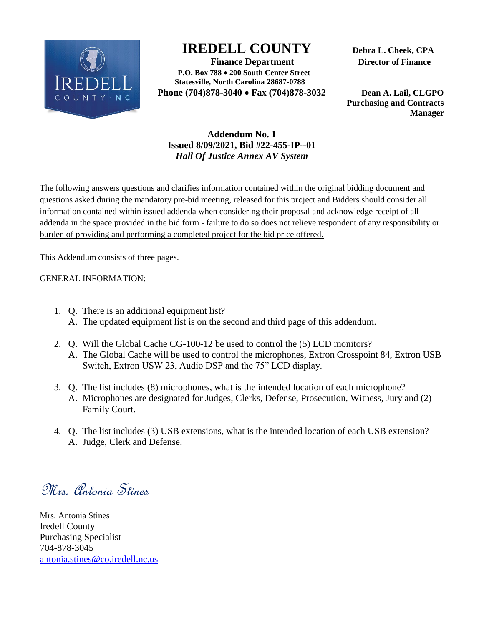

## **IREDELL COUNTY Debra L. Cheek, CPA**

 **Finance Department Director of Finance P.O. Box 788 200 South Center Street \_\_\_\_\_\_\_\_\_\_\_\_\_\_\_\_\_\_\_\_\_ Statesville, North Carolina 28687-0788 Phone (704)878-3040 Fax (704)878-3032 Dean A. Lail, CLGPO** 

 **Purchasing and Contracts Manager**

## **Addendum No. 1 Issued 8/09/2021, Bid #22-455-IP--01** *Hall Of Justice Annex AV System*

The following answers questions and clarifies information contained within the original bidding document and questions asked during the mandatory pre-bid meeting, released for this project and Bidders should consider all information contained within issued addenda when considering their proposal and acknowledge receipt of all addenda in the space provided in the bid form - failure to do so does not relieve respondent of any responsibility or burden of providing and performing a completed project for the bid price offered.

This Addendum consists of three pages.

## GENERAL INFORMATION:

- 1. Q. There is an additional equipment list? A. The updated equipment list is on the second and third page of this addendum.
- 2. Q. Will the Global Cache CG-100-12 be used to control the (5) LCD monitors? A. The Global Cache will be used to control the microphones, Extron Crosspoint 84, Extron USB Switch, Extron USW 23, Audio DSP and the 75" LCD display.
- 3. Q. The list includes (8) microphones, what is the intended location of each microphone? A. Microphones are designated for Judges, Clerks, Defense, Prosecution, Witness, Jury and (2) Family Court.
- 4. Q. The list includes (3) USB extensions, what is the intended location of each USB extension? A. Judge, Clerk and Defense.

Mrs. Antonia Stines

Mrs. Antonia Stines Iredell County Purchasing Specialist 704-878-3045 [antonia.stines@co.iredell.nc.us](mailto:antonia.stines@co.iredell.nc.us)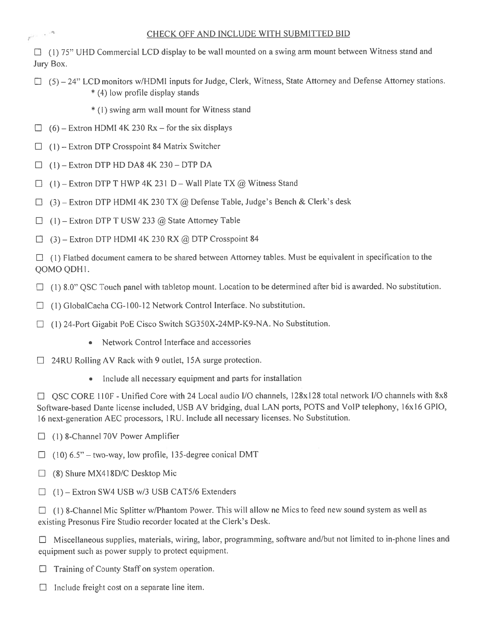$\Box$  (1) 75" UHD Commercial LCD display to be wall mounted on a swing arm mount between Witness stand and Jury Box.

 $\Box$  (5) – 24" LCD monitors w/HDMI inputs for Judge, Clerk, Witness, State Attorney and Defense Attorney stations. \* (4) low profile display stands

\* (1) swing arm wall mount for Witness stand

- $\Box$  (6) Extron HDMI 4K 230 Rx for the six displays
- $\Box$  (1) Extron DTP Crosspoint 84 Matrix Switcher
- $(1)$  Extron DTP HD DA8 4K 230 DTP DA  $\Box$

 $r^{(r-1)^{-1/2}}$ 

- $\Box$  (1) Extron DTP T HWP 4K 231 D Wall Plate TX @ Witness Stand
- $(3)$  Extron DTP HDMI 4K 230 TX @ Defense Table, Judge's Bench & Clerk's desk  $\Box$
- $\Box$  (1) Extron DTP T USW 233 @ State Attorney Table
- $\Box$  (3) Extron DTP HDMI 4K 230 RX @ DTP Crosspoint 84

 $\Box$  (1) Flatbed document camera to be shared between Attorney tables. Must be equivalent in specification to the QOMO QDH1.

- $\Box$  (1) 8.0" QSC Touch panel with tabletop mount. Location to be determined after bid is awarded. No substitution.
- $\Box$  (1) GlobalCacha CG-100-12 Network Control Interface. No substitution.
- $\Box$  (1) 24-Port Gigabit PoE Cisco Switch SG350X-24MP-K9-NA. No Substitution.
	- Network Control Interface and accessories
- $\Box$  24RU Rolling AV Rack with 9 outlet, 15A surge protection.
	- Include all necessary equipment and parts for installation

□ QSC CORE 110F - Unified Core with 24 Local audio I/O channels, 128x128 total network I/O channels with 8x8 Software-based Dante license included, USB AV bridging, dual LAN ports, POTS and VoIP telephony, 16x16 GPIO, 16 next-generation AEC processors, 1RU. Include all necessary licenses. No Substitution.

- $\Box$  (1) 8-Channel 70V Power Amplifier
- $\Box$  (10) 6.5" two-way, low profile, 135-degree conical DMT
- $\Box$  (8) Shure MX418D/C Desktop Mic
- $\Box$  (1) Extron SW4 USB w/3 USB CAT5/6 Extenders

 $\Box$  (1) 8-Channel Mic Splitter w/Phantom Power. This will allow ne Mics to feed new sound system as well as existing Presonus Fire Studio recorder located at the Clerk's Desk.

 $\Box$  Miscellaneous supplies, materials, wiring, labor, programming, software and/but not limited to in-phone lines and equipment such as power supply to protect equipment.

 $\Box$  Training of County Staff on system operation.

 $\Box$  Include freight cost on a separate line item.